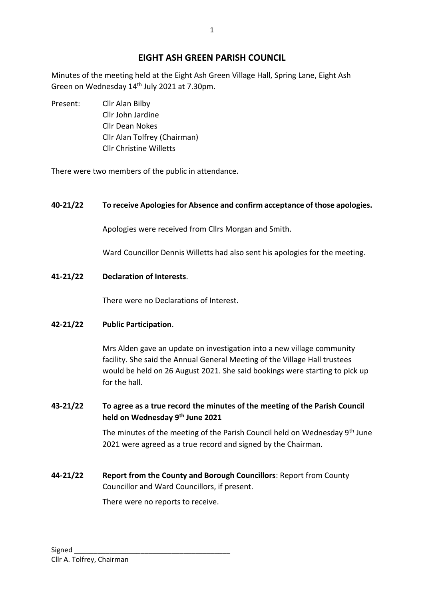# **EIGHT ASH GREEN PARISH COUNCIL**

Minutes of the meeting held at the Eight Ash Green Village Hall, Spring Lane, Eight Ash Green on Wednesday 14th July 2021 at 7.30pm.

Present: Cllr Alan Bilby Cllr John Jardine Cllr Dean Nokes Cllr Alan Tolfrey (Chairman) Cllr Christine Willetts

There were two members of the public in attendance.

## **40-21/22 To receive Apologies for Absence and confirm acceptance of those apologies.**

Apologies were received from Cllrs Morgan and Smith.

Ward Councillor Dennis Willetts had also sent his apologies for the meeting.

**41-21/22 Declaration of Interests**.

There were no Declarations of Interest.

### **42-21/22 Public Participation**.

Mrs Alden gave an update on investigation into a new village community facility. She said the Annual General Meeting of the Village Hall trustees would be held on 26 August 2021. She said bookings were starting to pick up for the hall.

## **43-21/22 To agree as a true record the minutes of the meeting of the Parish Council held on Wednesday 9th June 2021**

The minutes of the meeting of the Parish Council held on Wednesday 9<sup>th</sup> June 2021 were agreed as a true record and signed by the Chairman.

**44-21/22 Report from the County and Borough Councillors**: Report from County Councillor and Ward Councillors, if present.

There were no reports to receive.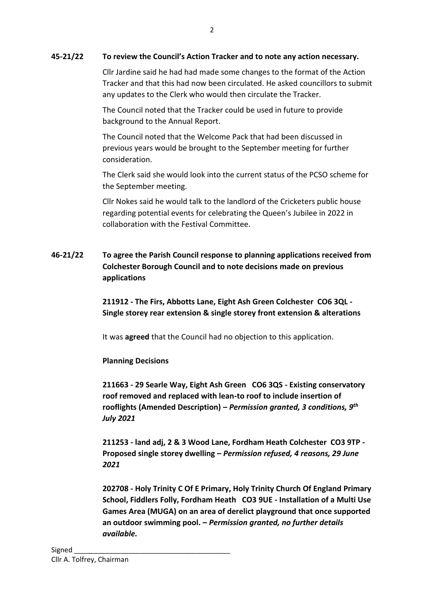#### **45-21/22 To review the Council's Action Tracker and to note any action necessary.**

Cllr Jardine said he had had made some changes to the format of the Action Tracker and that this had now been circulated. He asked councillors to submit any updates to the Clerk who would then circulate the Tracker.

The Council noted that the Tracker could be used in future to provide background to the Annual Report.

The Council noted that the Welcome Pack that had been discussed in previous years would be brought to the September meeting for further consideration.

The Clerk said she would look into the current status of the PCSO scheme for the September meeting.

Cllr Nokes said he would talk to the landlord of the Cricketers public house regarding potential events for celebrating the Queen's Jubilee in 2022 in collaboration with the Festival Committee.

# **46-21/22 To agree the Parish Council response to planning applications received from Colchester Borough Council and to note decisions made on previous applications**

**211912 - The Firs, Abbotts Lane, Eight Ash Green Colchester CO6 3QL - Single storey rear extension & single storey front extension & alterations**

It was **agreed** that the Council had no objection to this application.

**Planning Decisions** 

**211663 - 29 Searle Way, Eight Ash Green CO6 3QS - Existing conservatory roof removed and replaced with lean-to roof to include insertion of rooflights (Amended Description) –** *Permission granted, 3 conditions, 9th July 2021*

**211253 - land adj, 2 & 3 Wood Lane, Fordham Heath Colchester CO3 9TP - Proposed single storey dwelling –** *Permission refused, 4 reasons, 29 June 2021*

**202708 - Holy Trinity C Of E Primary, Holy Trinity Church Of England Primary School, Fiddlers Folly, Fordham Heath CO3 9UE - Installation of a Multi Use Games Area (MUGA) on an area of derelict playground that once supported an outdoor swimming pool. –** *Permission granted, no further details available.*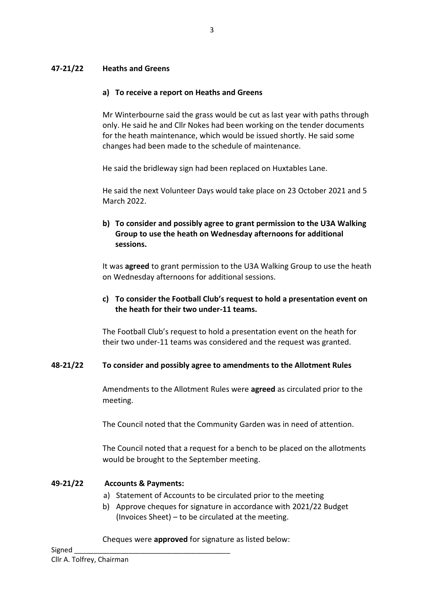### **47-21/22 Heaths and Greens**

### **a) To receive a report on Heaths and Greens**

Mr Winterbourne said the grass would be cut as last year with paths through only. He said he and Cllr Nokes had been working on the tender documents for the heath maintenance, which would be issued shortly. He said some changes had been made to the schedule of maintenance.

He said the bridleway sign had been replaced on Huxtables Lane.

He said the next Volunteer Days would take place on 23 October 2021 and 5 March 2022.

## **b) To consider and possibly agree to grant permission to the U3A Walking Group to use the heath on Wednesday afternoons for additional sessions.**

It was **agreed** to grant permission to the U3A Walking Group to use the heath on Wednesday afternoons for additional sessions.

### **c) To consider the Football Club's request to hold a presentation event on the heath for their two under-11 teams.**

The Football Club's request to hold a presentation event on the heath for their two under-11 teams was considered and the request was granted.

### **48-21/22 To consider and possibly agree to amendments to the Allotment Rules**

Amendments to the Allotment Rules were **agreed** as circulated prior to the meeting.

The Council noted that the Community Garden was in need of attention.

The Council noted that a request for a bench to be placed on the allotments would be brought to the September meeting.

### **49-21/22 Accounts & Payments:**

- a) Statement of Accounts to be circulated prior to the meeting
- b) Approve cheques for signature in accordance with 2021/22 Budget (Invoices Sheet) – to be circulated at the meeting.

Cheques were **approved** for signature as listed below: